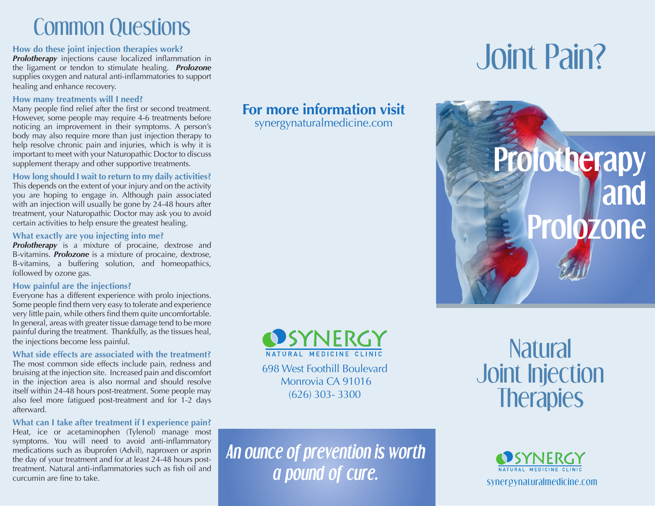# Common Questions

**How do these joint injection therapies work?**

*Prolotherapy* injections cause localized inflammation in the ligament or tendon to stimulate healing. *Prolozone*  supplies oxygen and natural anti-inflammatories to support healing and enhance recovery.

#### **How many treatments will I need?**

Many people find relief after the first or second treatment. However, some people may require 4-6 treatments before noticing an improvement in their symptoms. A person's body may also require more than just injection therapy to help resolve chronic pain and injuries, which is why it is important to meet with your Naturopathic Doctor to discuss supplement therapy and other supportive treatments.

**How long should I wait to return to my daily activities?** This depends on the extent of your injury and on the activity you are hoping to engage in. Although pain associated with an injection will usually be gone by 24-48 hours after treatment, your Naturopathic Doctor may ask you to avoid certain activities to help ensure the greatest healing.

#### **What exactly are you injecting into me?**

*Prolotherapy* is a mixture of procaine, dextrose and B-vitamins. *Prolozone* is a mixture of procaine, dextrose, B-vitamins, a buffering solution, and homeopathics, followed by ozone gas.

### **How painful are the injections?**

Everyone has a different experience with prolo injections. Some people find them very easy to tolerate and experience very little pain, while others find them quite uncomfortable. In general, areas with greater tissue damage tend to be more painful during the treatment. Thankfully, as the tissues heal, the injections become less painful.

**What side effects are associated with the treatment?** The most common side effects include pain, redness and bruising at the injection site. Increased pain and discomfort in the injection area is also normal and should resolve itself within 24-48 hours post-treatment. Some people may also feel more fatigued post-treatment and for 1-2 days afterward.

## **What can I take after treatment if I experience pain?**

Heat, ice or acetaminophen (Tylenol) manage most symptoms. You will need to avoid anti-inflammatory medications such as ibuprofen (Advil), naproxen or asprin the day of your treatment and for at least 24-48 hours posttreatment. Natural anti-inflammatories such as fish oil and curcumin are fine to take.

**For more information visit**

synergynaturalmedicine.com



698 West Foothill Boulevard Monrovia CA 91016 (626) 303- 3300

*An ounce of prevention is worth a pound of cure.*

# Joint Pain?



**Natural** Joint Injection **Therapies**